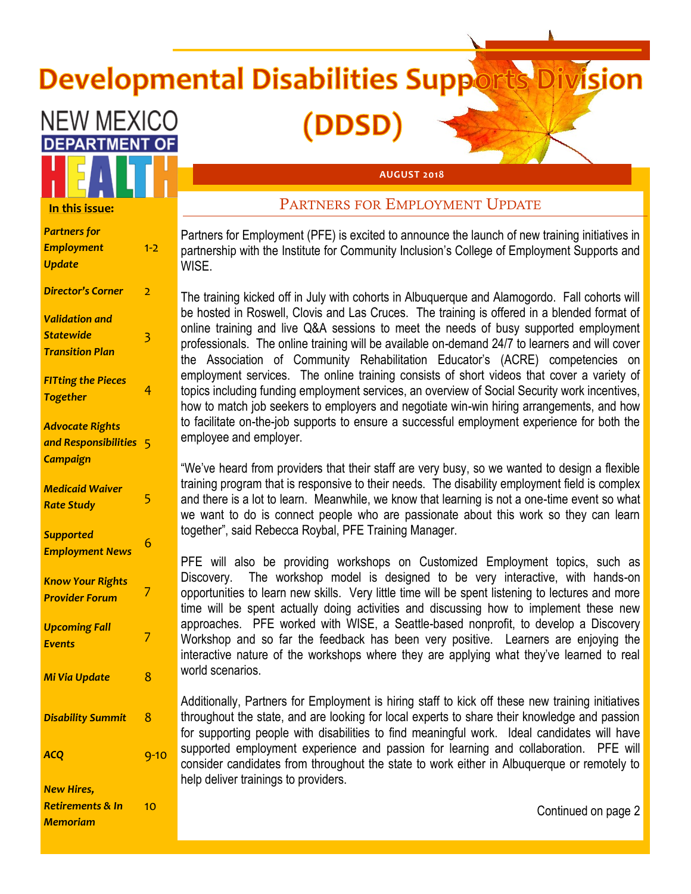# **Developmental Disabilities Suppor**

(DDSD<sup>)</sup>



*Partners for Employment Update* 1-2 *Director's Corner* 2 *Validation and Statewide Transition Plan* 3 *FITting the Pieces Together* <sup>4</sup> *Advocate Rights and Responsibilities*  5 *Campaign Medicaid Waiver Rate Study* <sup>5</sup> *Supported Employment News* <sup>6</sup> *Know Your Rights Provider Forum* <sup>7</sup> *Upcoming Fall Events* 7 *Mi Via Update* 8 **Disability Summit** 8 **ACQ** 9-10 *New Hires, Retirements & In*   $1<sub>0</sub>$ 

*Memoriam*

#### **AUGUST 2018**

# PARTNERS FOR EMPLOYMENT UPDATE

Partners for Employment (PFE) is excited to announce the launch of new training initiatives in partnership with the Institute for Community Inclusion's College of Employment Supports and WISE.

The training kicked off in July with cohorts in Albuquerque and Alamogordo. Fall cohorts will be hosted in Roswell, Clovis and Las Cruces. The training is offered in a blended format of online training and live Q&A sessions to meet the needs of busy supported employment professionals. The online training will be available on-demand 24/7 to learners and will cover the Association of Community Rehabilitation Educator's (ACRE) competencies on employment services. The online training consists of short videos that cover a variety of topics including funding employment services, an overview of Social Security work incentives, how to match job seekers to employers and negotiate win-win hiring arrangements, and how to facilitate on-the-job supports to ensure a successful employment experience for both the employee and employer.

"We've heard from providers that their staff are very busy, so we wanted to design a flexible training program that is responsive to their needs. The disability employment field is complex and there is a lot to learn. Meanwhile, we know that learning is not a one-time event so what we want to do is connect people who are passionate about this work so they can learn together", said Rebecca Roybal, PFE Training Manager.

PFE will also be providing workshops on Customized Employment topics, such as Discovery. The workshop model is designed to be very interactive, with hands-on opportunities to learn new skills. Very little time will be spent listening to lectures and more time will be spent actually doing activities and discussing how to implement these new approaches. PFE worked with WISE, a Seattle-based nonprofit, to develop a Discovery Workshop and so far the feedback has been very positive. Learners are enjoying the interactive nature of the workshops where they are applying what they've learned to real world scenarios.

Additionally, Partners for Employment is hiring staff to kick off these new training initiatives throughout the state, and are looking for local experts to share their knowledge and passion for supporting people with disabilities to find meaningful work. Ideal candidates will have supported employment experience and passion for learning and collaboration. PFE will consider candidates from throughout the state to work either in Albuquerque or remotely to help deliver trainings to providers.

Continued on page 2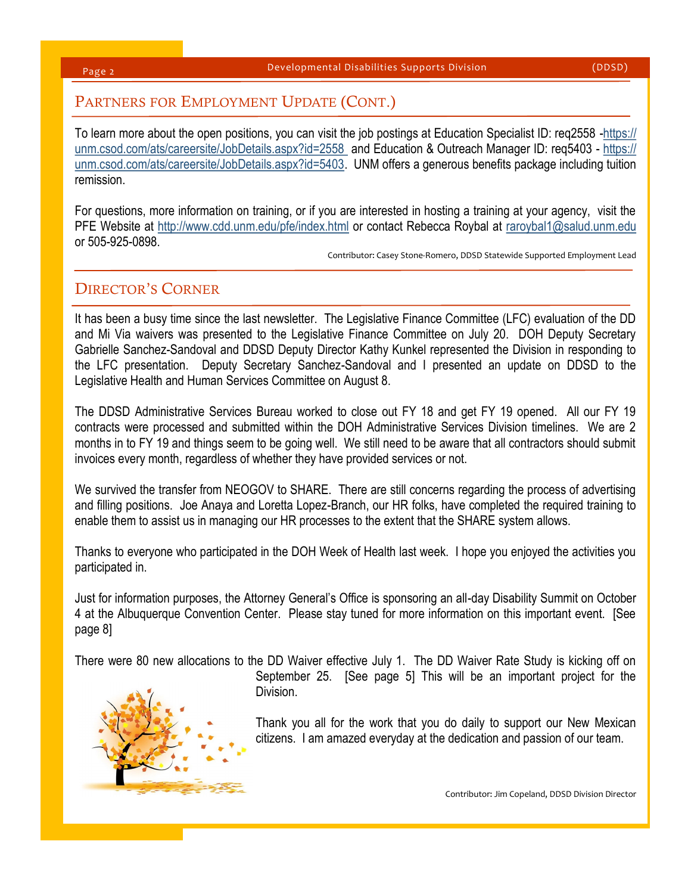Page 2

# PARTNERS FOR EMPLOYMENT UPDATE (CONT.)

To learn more about the open positions, you can visit the job postings at Education Specialist ID: req2558 -[https://](https://unm.csod.com/ats/careersite/JobDetails.aspx?id=2558) unm.csod.com/ats/careersite/JobDetails.aspx?id=2558\_and Education & Outreach Manager ID: req5403 - [https://](https://unm.csod.com/ats/careersite/JobDetails.aspx?id=5403) [unm.csod.com/ats/careersite/JobDetails.aspx?id=5403.](https://unm.csod.com/ats/careersite/JobDetails.aspx?id=5403) UNM offers a generous benefits package including tuition remission.

For questions, more information on training, or if you are interested in hosting a training at your agency, visit the PFE Website at <http://www.cdd.unm.edu/pfe/index.html> or contact Rebecca Roybal at [raroybal1@salud.unm.edu](mailto:raroybal1@salud.unm.edu) or 505-925-0898.

Contributor: Casey Stone-Romero, DDSD Statewide Supported Employment Lead

# DIRECTOR'S CORNER

It has been a busy time since the last newsletter. The Legislative Finance Committee (LFC) evaluation of the DD and Mi Via waivers was presented to the Legislative Finance Committee on July 20. DOH Deputy Secretary Gabrielle Sanchez-Sandoval and DDSD Deputy Director Kathy Kunkel represented the Division in responding to the LFC presentation. Deputy Secretary Sanchez-Sandoval and I presented an update on DDSD to the Legislative Health and Human Services Committee on August 8.

The DDSD Administrative Services Bureau worked to close out FY 18 and get FY 19 opened. All our FY 19 contracts were processed and submitted within the DOH Administrative Services Division timelines. We are 2 months in to FY 19 and things seem to be going well. We still need to be aware that all contractors should submit invoices every month, regardless of whether they have provided services or not.

We survived the transfer from NEOGOV to SHARE. There are still concerns regarding the process of advertising and filling positions. Joe Anaya and Loretta Lopez-Branch, our HR folks, have completed the required training to enable them to assist us in managing our HR processes to the extent that the SHARE system allows.

Thanks to everyone who participated in the DOH Week of Health last week. I hope you enjoyed the activities you participated in.

Just for information purposes, the Attorney General's Office is sponsoring an all-day Disability Summit on October 4 at the Albuquerque Convention Center. Please stay tuned for more information on this important event. [See page 8]

There were 80 new allocations to the DD Waiver effective July 1. The DD Waiver Rate Study is kicking off on



September 25. [See page 5] This will be an important project for the Division.

Thank you all for the work that you do daily to support our New Mexican citizens. I am amazed everyday at the dedication and passion of our team.

Contributor: Jim Copeland, DDSD Division Director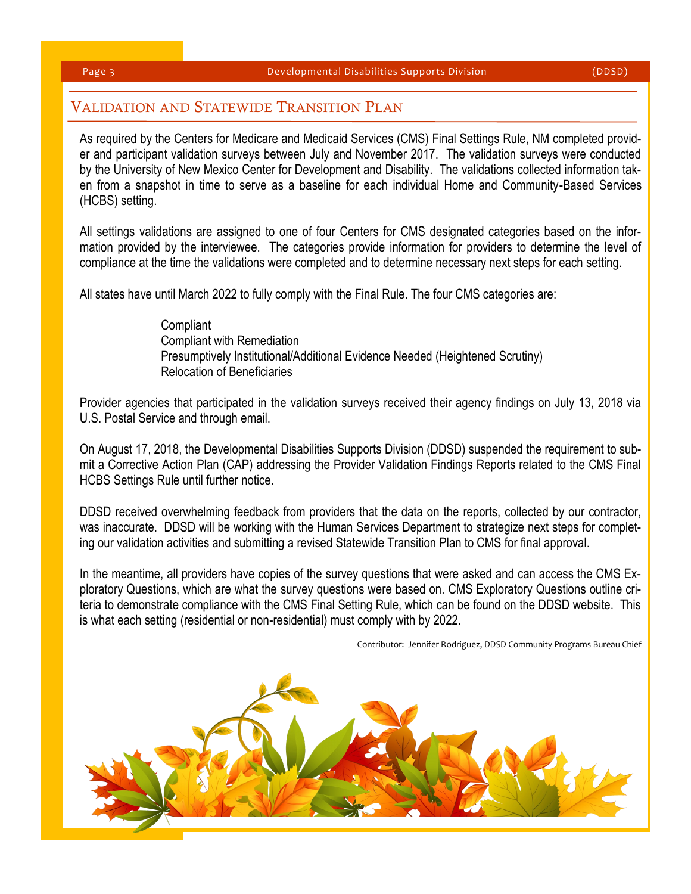# VALIDATION AND STATEWIDE TRANSITION PLAN

As required by the Centers for Medicare and Medicaid Services (CMS) Final Settings Rule, NM completed provider and participant validation surveys between July and November 2017. The validation surveys were conducted by the University of New Mexico Center for Development and Disability. The validations collected information taken from a snapshot in time to serve as a baseline for each individual Home and Community-Based Services (HCBS) setting.

All settings validations are assigned to one of four Centers for CMS designated categories based on the information provided by the interviewee. The categories provide information for providers to determine the level of compliance at the time the validations were completed and to determine necessary next steps for each setting.

All states have until March 2022 to fully comply with the Final Rule. The four CMS categories are:

### **Compliant** Compliant with Remediation Presumptively Institutional/Additional Evidence Needed (Heightened Scrutiny) Relocation of Beneficiaries

Provider agencies that participated in the validation surveys received their agency findings on July 13, 2018 via U.S. Postal Service and through email.

On August 17, 2018, the Developmental Disabilities Supports Division (DDSD) suspended the requirement to submit a Corrective Action Plan (CAP) addressing the Provider Validation Findings Reports related to the CMS Final HCBS Settings Rule until further notice.

DDSD received overwhelming feedback from providers that the data on the reports, collected by our contractor, was inaccurate. DDSD will be working with the Human Services Department to strategize next steps for completing our validation activities and submitting a revised Statewide Transition Plan to CMS for final approval.

In the meantime, all providers have copies of the survey questions that were asked and can access the CMS Exploratory Questions, which are what the survey questions were based on. CMS Exploratory Questions outline criteria to demonstrate compliance with the CMS Final Setting Rule, which can be found on the DDSD website. This is what each setting (residential or non-residential) must comply with by 2022.

Contributor: Jennifer Rodriguez, DDSD Community Programs Bureau Chief

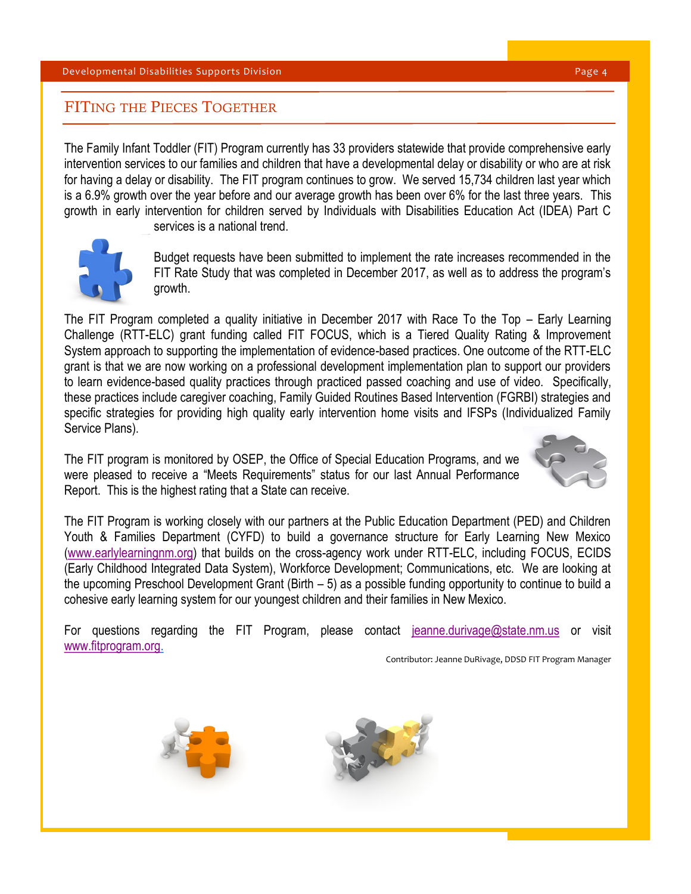# FITING THE PIECES TOGETHER

The Family Infant Toddler (FIT) Program currently has 33 providers statewide that provide comprehensive early intervention services to our families and children that have a developmental delay or disability or who are at risk for having a delay or disability. The FIT program continues to grow. We served 15,734 children last year which is a 6.9% growth over the year before and our average growth has been over 6% for the last three years. This growth in early intervention for children served by Individuals with Disabilities Education Act (IDEA) Part C



services is a national trend.

Budget requests have been submitted to implement the rate increases recommended in the FIT Rate Study that was completed in December 2017, as well as to address the program's growth.

The FIT Program completed a quality initiative in December 2017 with Race To the Top – Early Learning Challenge (RTT-ELC) grant funding called FIT FOCUS, which is a Tiered Quality Rating & Improvement System approach to supporting the implementation of evidence-based practices. One outcome of the RTT-ELC grant is that we are now working on a professional development implementation plan to support our providers to learn evidence-based quality practices through practiced passed coaching and use of video. Specifically, these practices include caregiver coaching, Family Guided Routines Based Intervention (FGRBI) strategies and specific strategies for providing high quality early intervention home visits and IFSPs (Individualized Family Service Plans).

The FIT program is monitored by OSEP, the Office of Special Education Programs, and we were pleased to receive a "Meets Requirements" status for our last Annual Performance Report. This is the highest rating that a State can receive.



The FIT Program is working closely with our partners at the Public Education Department (PED) and Children Youth & Families Department (CYFD) to build a governance structure for Early Learning New Mexico [\(www.earlylearningnm.org\)](http://www.earlylearningnm.org) that builds on the cross-agency work under RTT-ELC, including FOCUS, ECIDS (Early Childhood Integrated Data System), Workforce Development; Communications, etc. We are looking at the upcoming Preschool Development Grant (Birth – 5) as a possible funding opportunity to continue to build a cohesive early learning system for our youngest children and their families in New Mexico.

For questions regarding the FIT Program, please contact [jeanne.durivage@state.nm.us](mailto:jeanne.durivage@state.nm.us) or visit [www.fitprogram.org.](http://www.fitprogram.org)

Contributor: Jeanne DuRivage, DDSD FIT Program Manager



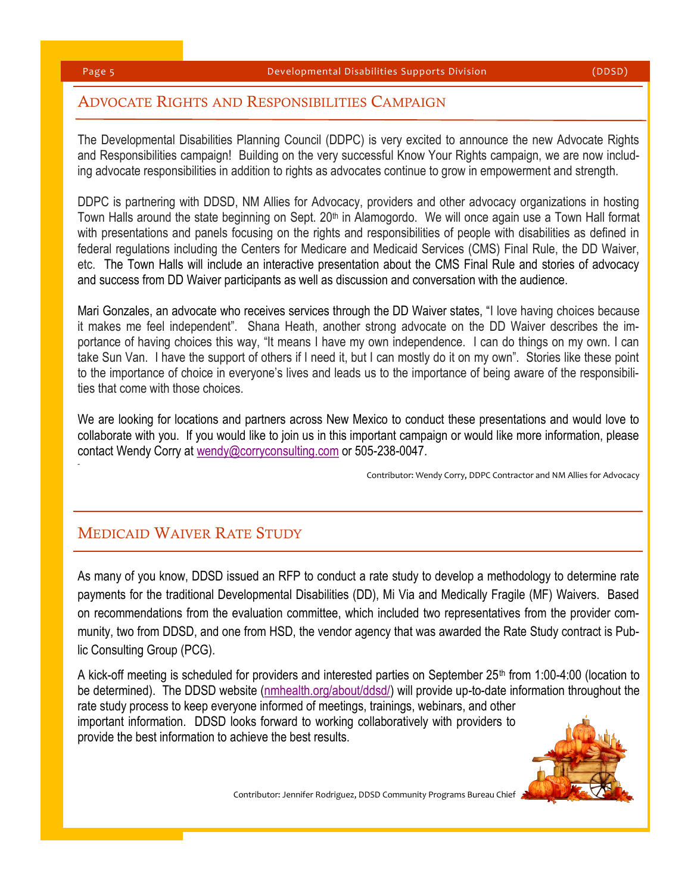1

# ADVOCATE RIGHTS AND RESPONSIBILITIES CAMPAIGN

The Developmental Disabilities Planning Council (DDPC) is very excited to announce the new Advocate Rights and Responsibilities campaign! Building on the very successful Know Your Rights campaign, we are now including advocate responsibilities in addition to rights as advocates continue to grow in empowerment and strength.

DDPC is partnering with DDSD, NM Allies for Advocacy, providers and other advocacy organizations in hosting Town Halls around the state beginning on Sept. 20<sup>th</sup> in Alamogordo. We will once again use a Town Hall format with presentations and panels focusing on the rights and responsibilities of people with disabilities as defined in federal regulations including the Centers for Medicare and Medicaid Services (CMS) Final Rule, the DD Waiver, etc. The Town Halls will include an interactive presentation about the CMS Final Rule and stories of advocacy and success from DD Waiver participants as well as discussion and conversation with the audience.

Mari Gonzales, an advocate who receives services through the DD Waiver states, "I love having choices because it makes me feel independent". Shana Heath, another strong advocate on the DD Waiver describes the importance of having choices this way, "It means I have my own independence. I can do things on my own. I can take Sun Van. I have the support of others if I need it, but I can mostly do it on my own". Stories like these point to the importance of choice in everyone's lives and leads us to the importance of being aware of the responsibilities that come with those choices.

We are looking for locations and partners across New Mexico to conduct these presentations and would love to collaborate with you. If you would like to join us in this important campaign or would like more information, please contact Wendy Corry at [wendy@corryconsulting.com](mailto:wendy@corryconsulting.com) or 505-238-0047.

Contributor: Wendy Corry, DDPC Contractor and NM Allies for Advocacy

# MEDICAID WAIVER RATE STUDY

As many of you know, DDSD issued an RFP to conduct a rate study to develop a methodology to determine rate payments for the traditional Developmental Disabilities (DD), Mi Via and Medically Fragile (MF) Waivers. Based on recommendations from the evaluation committee, which included two representatives from the provider community, two from DDSD, and one from HSD, the vendor agency that was awarded the Rate Study contract is Public Consulting Group (PCG).

A kick-off meeting is scheduled for providers and interested parties on September 25<sup>th</sup> from 1:00-4:00 (location to be determined). The DDSD website [\(nmhealth.org/about/ddsd/\)](https://nmhealth.org/about/ddsd/) will provide up-to-date information throughout the rate study process to keep everyone informed of meetings, trainings, webinars, and other important information. DDSD looks forward to working collaboratively with providers to provide the best information to achieve the best results.



Contributor: Jennifer Rodriguez, DDSD Community Programs Bureau Chief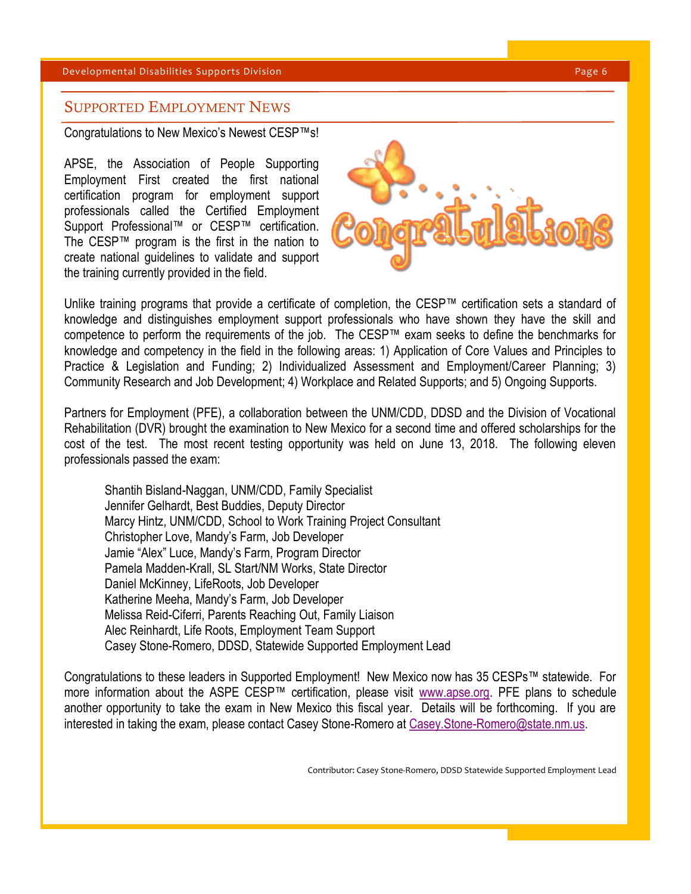#### Developmental Disabilities Supports Division **Page 6** and Page 6 and Page 6 and Page 6 and Page 6 and Page 6 and Page 6 and Page 6 and Page 6 and Page 6 and Page 6 and Page 6 and Page 7 and Page 7 and Page 7 and Page 7 and

## SUPPORTED EMPLOYMENT NEWS

Congratulations to New Mexico's Newest CESP™s!

APSE, the Association of People Supporting Employment First created the first national certification program for employment support professionals called the Certified Employment Support Professional™ or CESP™ certification. The CESP™ program is the first in the nation to create national guidelines to validate and support the training currently provided in the field.



Unlike training programs that provide a certificate of completion, the CESP™ certification sets a standard of knowledge and distinguishes employment support professionals who have shown they have the skill and competence to perform the requirements of the job. The CESP™ exam seeks to define the benchmarks for knowledge and competency in the field in the following areas: 1) Application of Core Values and Principles to Practice & Legislation and Funding; 2) Individualized Assessment and Employment/Career Planning; 3) Community Research and Job Development; 4) Workplace and Related Supports; and 5) Ongoing Supports.

Partners for Employment (PFE), a collaboration between the UNM/CDD, DDSD and the Division of Vocational Rehabilitation (DVR) brought the examination to New Mexico for a second time and offered scholarships for the cost of the test. The most recent testing opportunity was held on June 13, 2018. The following eleven professionals passed the exam:

Shantih Bisland-Naggan, UNM/CDD, Family Specialist Jennifer Gelhardt, Best Buddies, Deputy Director Marcy Hintz, UNM/CDD, School to Work Training Project Consultant Christopher Love, Mandy's Farm, Job Developer Jamie "Alex" Luce, Mandy's Farm, Program Director Pamela Madden-Krall, SL Start/NM Works, State Director Daniel McKinney, LifeRoots, Job Developer Katherine Meeha, Mandy's Farm, Job Developer Melissa Reid-Ciferri, Parents Reaching Out, Family Liaison Alec Reinhardt, Life Roots, Employment Team Support Casey Stone-Romero, DDSD, Statewide Supported Employment Lead

Congratulations to these leaders in Supported Employment! New Mexico now has 35 CESPs™ statewide. For more information about the ASPE CESP™ certification, please visit [www.apse.org.](http://www.apse.org) PFE plans to schedule another opportunity to take the exam in New Mexico this fiscal year. Details will be forthcoming. If you are interested in taking the exam, please contact Casey Stone-Romero at [Casey.Stone-Romero@state.nm.us.](mailto:Casey.Stone-Romero@state.nm.us)

Contributor: Casey Stone-Romero, DDSD Statewide Supported Employment Lead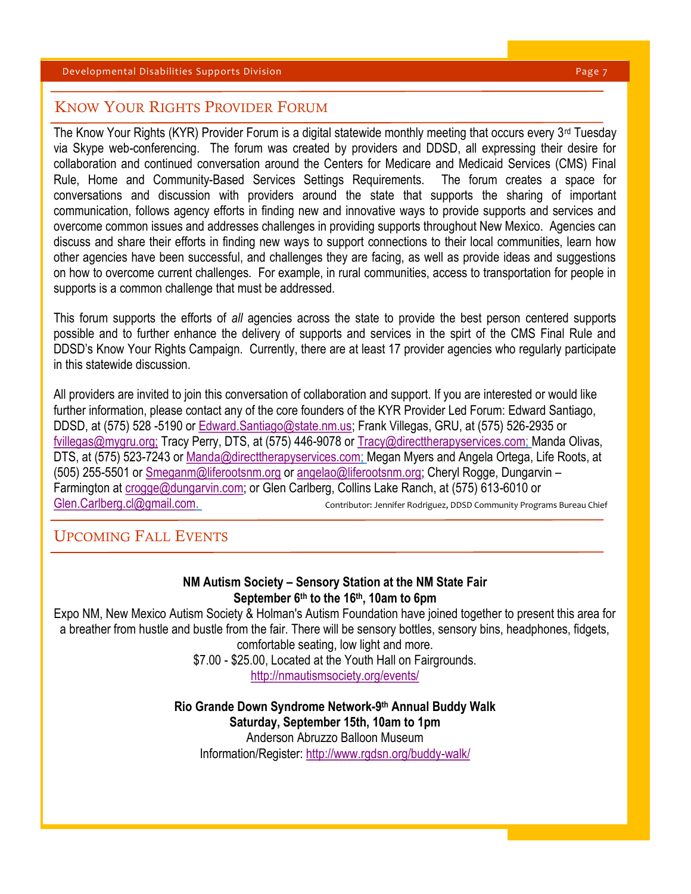# KNOW YOUR RIGHTS PROVIDER FORUM

The Know Your Rights (KYR) Provider Forum is a digital statewide monthly meeting that occurs every 3rd Tuesday via Skype web-conferencing. The forum was created by providers and DDSD, all expressing their desire for collaboration and continued conversation around the Centers for Medicare and Medicaid Services (CMS) Final Rule, Home and Community-Based Services Settings Requirements. The forum creates a space for conversations and discussion with providers around the state that supports the sharing of important communication, follows agency efforts in finding new and innovative ways to provide supports and services and overcome common issues and addresses challenges in providing supports throughout New Mexico. Agencies can discuss and share their efforts in finding new ways to support connections to their local communities, learn how other agencies have been successful, and challenges they are facing, as well as provide ideas and suggestions on how to overcome current challenges. For example, in rural communities, access to transportation for people in supports is a common challenge that must be addressed.

This forum supports the efforts of *all* agencies across the state to provide the best person centered supports possible and to further enhance the delivery of supports and services in the spirt of the CMS Final Rule and DDSD's Know Your Rights Campaign. Currently, there are at least 17 provider agencies who regularly participate in this statewide discussion.

All providers are invited to join this conversation of collaboration and support. If you are interested or would like further information, please contact any of the core founders of the KYR Provider Led Forum: Edward Santiago, DDSD, at (575) 528 -5190 or [Edward.Santiago@state.nm.us;](mailto:Edward.Santiago@state.nm.us) Frank Villegas, GRU, at (575) 526-2935 or [fvillegas@mygru.org;](mailto:fvillegas@mygru.org;T) Tracy Perry, DTS, at (575) 446-9078 or [Tracy@directtherapyservices.com;](mailto:Tracy@directtherapyservices.com) Manda Olivas, DTS, at (575) 523-7243 or [Manda@directtherapyservices.com;](mailto:Manda@directtherapyservices.com) Megan Myers and Angela Ortega, Life Roots, at (505) 255-5501 or [Smeganm@liferootsnm.org](mailto:Smeganm@liferootsnm.org) or [angelao@liferootsnm.org;](mailto:angelao@liferootsnm.org) Cheryl Rogge, Dungarvin – Farmington at [crogge@dungarvin.com;](mailto:crogge@dungarvin.com) or Glen Carlberg, Collins Lake Ranch, at (575) 613-6010 or [Glen.Carlberg.cl@gmail.com.](mailto:Glen.Carlberg.cl@gmail.com) Community Programs Bureau Chief

# UPCOMING FALL EVENTS

### **NM Autism Society – Sensory Station at the NM State Fair September 6th to the 16th, 10am to 6pm**

Expo NM, New Mexico Autism Society & Holman's Autism Foundation have joined together to present this area for a breather from hustle and bustle from the fair. There will be sensory bottles, sensory bins, headphones, fidgets, comfortable seating, low light and more.

\$7.00 - \$25.00, Located at the Youth Hall on Fairgrounds.

<http://nmautismsociety.org/events/>

**Rio Grande Down Syndrome Network-9 th Annual Buddy Walk Saturday, September 15th, 10am to 1pm** Anderson Abruzzo Balloon Museum Information/Register:<http://www.rgdsn.org/buddy-walk/>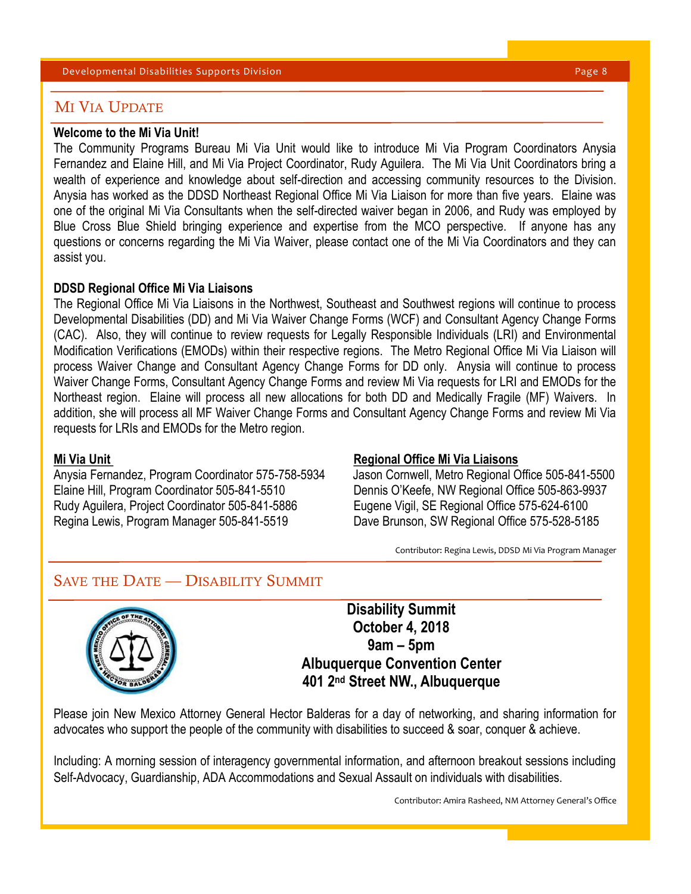#### Developmental Disabilities Supports Division Page 8

# MI VIA UPDATE

### **Welcome to the Mi Via Unit!**

The Community Programs Bureau Mi Via Unit would like to introduce Mi Via Program Coordinators Anysia Fernandez and Elaine Hill, and Mi Via Project Coordinator, Rudy Aguilera. The Mi Via Unit Coordinators bring a wealth of experience and knowledge about self-direction and accessing community resources to the Division. Anysia has worked as the DDSD Northeast Regional Office Mi Via Liaison for more than five years. Elaine was one of the original Mi Via Consultants when the self-directed waiver began in 2006, and Rudy was employed by Blue Cross Blue Shield bringing experience and expertise from the MCO perspective. If anyone has any questions or concerns regarding the Mi Via Waiver, please contact one of the Mi Via Coordinators and they can assist you.

#### **DDSD Regional Office Mi Via Liaisons**

The Regional Office Mi Via Liaisons in the Northwest, Southeast and Southwest regions will continue to process Developmental Disabilities (DD) and Mi Via Waiver Change Forms (WCF) and Consultant Agency Change Forms (CAC). Also, they will continue to review requests for Legally Responsible Individuals (LRI) and Environmental Modification Verifications (EMODs) within their respective regions. The Metro Regional Office Mi Via Liaison will process Waiver Change and Consultant Agency Change Forms for DD only. Anysia will continue to process Waiver Change Forms, Consultant Agency Change Forms and review Mi Via requests for LRI and EMODs for the Northeast region. Elaine will process all new allocations for both DD and Medically Fragile (MF) Waivers. In addition, she will process all MF Waiver Change Forms and Consultant Agency Change Forms and review Mi Via requests for LRIs and EMODs for the Metro region.

Anysia Fernandez, Program Coordinator 575-758-5934 Jason Cornwell, Metro Regional Office 505-841-5500 Elaine Hill, Program Coordinator 505-841-5510 Dennis O'Keefe, NW Regional Office 505-863-9937 Rudy Aguilera, Project Coordinator 505-841-5886 Eugene Vigil, SE Regional Office 575-624-6100 Regina Lewis, Program Manager 505-841-5519 Dave Brunson, SW Regional Office 575-528-5185

#### **Mi Via Unit Night Constructs And America Constructs And America Constructs And America Constructs And America Constructs And America Constructs And America Constructs And America Constructs And America Constructs And Amer**

Contributor: Regina Lewis, DDSD Mi Via Program Manager

# SAVE THE DATE — DISABILITY SUMMIT



**Disability Summit October 4, 2018 9am – 5pm Albuquerque Convention Center 401 2nd Street NW., Albuquerque**

Please join New Mexico Attorney General Hector Balderas for a day of networking, and sharing information for advocates who support the people of the community with disabilities to succeed & soar, conquer & achieve.

Including: A morning session of interagency governmental information, and afternoon breakout sessions including Self-Advocacy, Guardianship, ADA Accommodations and Sexual Assault on individuals with disabilities.

Contributor: Amira Rasheed, NM Attorney General's Office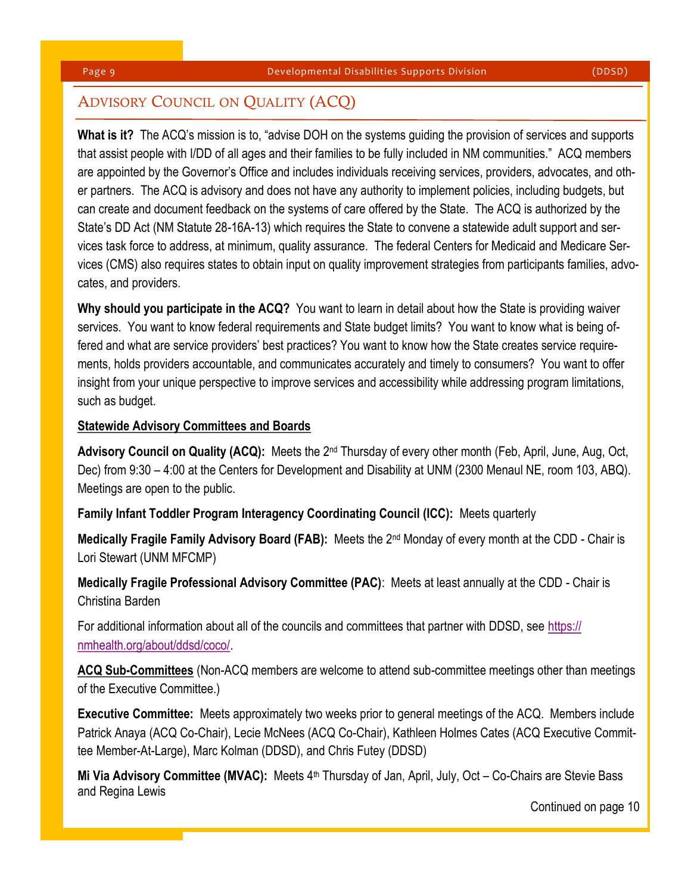# ADVISORY COUNCIL ON QUALITY (ACQ)

**What is it?** The ACQ's mission is to, "advise DOH on the systems guiding the provision of services and supports that assist people with I/DD of all ages and their families to be fully included in NM communities." ACQ members are appointed by the Governor's Office and includes individuals receiving services, providers, advocates, and other partners. The ACQ is advisory and does not have any authority to implement policies, including budgets, but can create and document feedback on the systems of care offered by the State. The ACQ is authorized by the State's DD Act (NM Statute 28-16A-13) which requires the State to convene a statewide adult support and services task force to address, at minimum, quality assurance. The federal Centers for Medicaid and Medicare Services (CMS) also requires states to obtain input on quality improvement strategies from participants families, advocates, and providers.

**Why should you participate in the ACQ?** You want to learn in detail about how the State is providing waiver services. You want to know federal requirements and State budget limits? You want to know what is being offered and what are service providers' best practices? You want to know how the State creates service requirements, holds providers accountable, and communicates accurately and timely to consumers? You want to offer insight from your unique perspective to improve services and accessibility while addressing program limitations, such as budget.

### **Statewide Advisory Committees and Boards**

**Advisory Council on Quality (ACQ):** Meets the 2nd Thursday of every other month (Feb, April, June, Aug, Oct, Dec) from 9:30 – 4:00 at the Centers for Development and Disability at UNM (2300 Menaul NE, room 103, ABQ). Meetings are open to the public.

**Family Infant Toddler Program Interagency Coordinating Council (ICC):** Meets quarterly

**Medically Fragile Family Advisory Board (FAB):** Meets the 2nd Monday of every month at the CDD - Chair is Lori Stewart (UNM MFCMP)

**Medically Fragile Professional Advisory Committee (PAC)**: Meets at least annually at the CDD - Chair is Christina Barden

For additional information about all of the councils and committees that partner with DDSD, see [https://](https://nmhealth.org/about/ddsd/coco/) [nmhealth.org/about/ddsd/coco/.](https://nmhealth.org/about/ddsd/coco/) 

**ACQ Sub-Committees** (Non-ACQ members are welcome to attend sub-committee meetings other than meetings of the Executive Committee.)

**Executive Committee:** Meets approximately two weeks prior to general meetings of the ACQ. Members include Patrick Anaya (ACQ Co-Chair), Lecie McNees (ACQ Co-Chair), Kathleen Holmes Cates (ACQ Executive Committee Member-At-Large), Marc Kolman (DDSD), and Chris Futey (DDSD)

Mi Via Advisory Committee (MVAC): Meets 4<sup>th</sup> Thursday of Jan, April, July, Oct – Co-Chairs are Stevie Bass and Regina Lewis

Continued on page 10